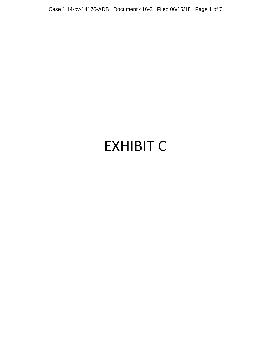Case 1:14-cv-14176-ADB Document 416-3 Filed 06/15/18 Page 1 of 7

# EXHIBIT C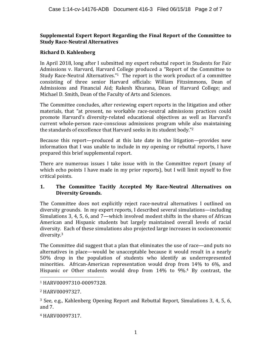#### **Supplemental Expert Report Regarding the Final Report of the Committee to Study Race-Neutral Alternatives**

## **Richard D. Kahlenberg**

In April 2018, long after I submitted my expert rebuttal report in Students for Fair Admissions v. Harvard, Harvard College produced a "Report of the Committee to Study Race-Neutral Alternatives."<sup>1</sup> The report is the work product of a committee consisting of three senior Harvard officials: William Fitzsimmons, Dean of Admissions and Financial Aid; Rakesh Khurana, Dean of Harvard College; and Michael D. Smith, Dean of the Faculty of Arts and Sciences.

The Committee concludes, after reviewing expert reports in the litigation and other materials, that "at present, no workable race-neutral admissions practices could promote Harvard's diversity-related educational objectives as well as Harvard's current whole-person race-conscious admissions program while also maintaining the standards of excellence that Harvard seeks in its student body."<sup>2</sup>

Because this report—produced at this late date in the litigation—provides new information that I was unable to include in my opening or rebuttal reports, I have prepared this brief supplemental report.

There are numerous issues I take issue with in the Committee report (many of which echo points I have made in my prior reports), but I will limit myself to five critical points.

## **1.** The Committee Tacitly Accepted My Race-Neutral Alternatives on **Diversity Grounds.**

The Committee does not explicitly reject race-neutral alternatives I outlined on diversity grounds. In my expert reports, I described several simulations—including Simulations 3, 4, 5, 6, and  $7$ —which involved modest shifts in the shares of African American and Hispanic students but largely maintained overall levels of racial diversity. Each of these simulations also projected large increases in socioeconomic diversity. 3

The Committee did suggest that a plan that eliminates the use of race—and puts no alternatives in place—would be unacceptable because it would result in a nearly 50% drop in the population of students who identify as underrepresented minorities. African-American representation would drop from 14% to 6%, and Hispanic or Other students would drop from  $14\%$  to  $9\%$ .<sup>4</sup> By contrast, the

 <sup>1</sup> HARV00097310-00097328.

<sup>2</sup> HARV00097327.

 $3$  See, e.g., Kahlenberg Opening Report and Rebuttal Report, Simulations 3, 4, 5, 6, and  $7.$ 

<sup>4</sup> HARV00097317.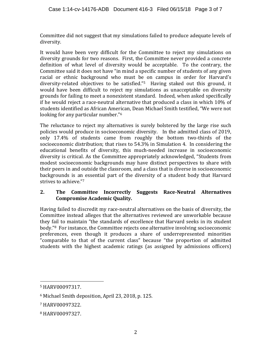Committee did not suggest that my simulations failed to produce adequate levels of diversity.

It would have been very difficult for the Committee to reject my simulations on diversity grounds for two reasons. First, the Committee never provided a concrete definition of what level of diversity would be acceptable. To the contrary, the Committee said it does not have "in mind a specific number of students of any given racial or ethnic background who must be on campus in order for Harvard's diversity-related objectives to be satisfied."<sup>5</sup> Having staked out this ground, it would have been difficult to reject my simulations as unacceptable on diversity grounds for failing to meet a nonexistent standard. Indeed, when asked specifically if he would reject a race-neutral alternative that produced a class in which 10% of students identified as African American, Dean Michael Smith testified, "We were not looking for any particular number."<sup>6</sup>

The reluctance to reject my alternatives is surely bolstered by the large rise such policies would produce in socioeconomic diversity. In the admitted class of 2019, only 17.4% of students came from roughly the bottom two-thirds of the socioeconomic distribution; that rises to  $54.3\%$  in Simulation 4. In considering the educational benefits of diversity, this much-needed increase in socioeconomic diversity is critical. As the Committee appropriately acknowledged, "Students from modest socioeconomic backgrounds may have distinct perspectives to share with their peers in and outside the classroom, and a class that is diverse in socioeconomic backgrounds is an essential part of the diversity of a student body that Harvard strives to achieve."7

## **2.** The Committee Incorrectly Suggests Race-Neutral Alternatives **Compromise Academic Quality.**

Having failed to discredit my race-neutral alternatives on the basis of diversity, the Committee instead alleges that the alternatives reviewed are unworkable because they fail to maintain "the standards of excellence that Harvard seeks in its student body."<sup>8</sup> For instance, the Committee rejects one alternative involving socioeconomic preferences, even though it produces a share of underrepresented minorities "comparable to that of the current class" because "the proportion of admitted students with the highest academic ratings (as assigned by admissions officers)

 

<sup>5</sup> HARV00097317.

 $6$  Michael Smith deposition, April 23, 2018, p. 125.

<sup>7</sup> HARV00097322.

<sup>8</sup> HARV00097327.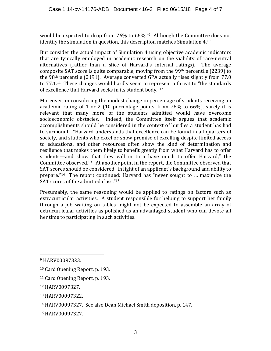would be expected to drop from 76% to 66%."<sup>9</sup> Although the Committee does not identify the simulation in question, this description matches Simulation  $4.10$ 

But consider the actual impact of Simulation 4 using objective academic indicators that are typically employed in academic research on the viability of race-neutral alternatives (rather than a slice of Harvard's internal ratings). The average composite SAT score is quite comparable, moving from the  $99<sup>th</sup>$  percentile (2239) to the  $98<sup>th</sup>$  percentile (2191). Average converted GPA actually rises slightly from  $77.0$ to  $77.1^{11}$  These changes would hardly seem to represent a threat to "the standards" of excellence that Harvard seeks in its student body."<sup>12</sup>

Moreover, in considering the modest change in percentage of students receiving an academic rating of 1 or 2 (10 percentage points, from  $76\%$  to  $66\%$ ), surely it is relevant that many more of the students admitted would have overcome socioeconomic obstacles. Indeed, the Committee itself argues that academic accomplishments should be considered in the context of hurdles a student has had to surmount. "Harvard understands that excellence can be found in all quarters of society, and students who excel or show promise of excelling despite limited access to educational and other resources often show the kind of determination and resilience that makes them likely to benefit greatly from what Harvard has to offer students—and show that they will in turn have much to offer Harvard," the Committee observed.<sup>13</sup> At another point in the report, the Committee observed that SAT scores should be considered "in light of an applicant's background and ability to prepare."<sup>14</sup> The report continued: Harvard has "never sought to ... maximize the SAT scores of the admitted class."<sup>15</sup>

Presumably, the same reasoning would be applied to ratings on factors such as extracurricular activities. A student responsible for helping to support her family through a job waiting on tables might not be expected to assemble an array of extracurricular activities as polished as an advantaged student who can devote all her time to participating in such activities.

 

<sup>13</sup> HARV00097322.

<sup>9</sup> HARV00097323.

<sup>&</sup>lt;sup>10</sup> Card Opening Report, p. 193.

<sup>&</sup>lt;sup>11</sup> Card Opening Report, p. 193.

<sup>12</sup> HARV0097327.

<sup>&</sup>lt;sup>14</sup> HARV00097327. See also Dean Michael Smith deposition, p. 147.

<sup>15</sup> HARV00097327.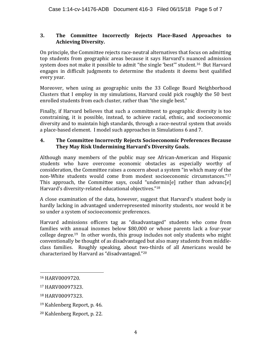#### **3. The Committee Incorrectly Rejects Place-Based Approaches to Achieving Diversity.**

On principle, the Committee rejects race-neutral alternatives that focus on admitting top students from geographic areas because it says Harvard's nuanced admission system does not make it possible to admit "the single 'best'" student.<sup>16</sup> But Harvard engages in difficult judgments to determine the students it deems best qualified every year.

Moreover, when using as geographic units the 33 College Board Neighborhood Clusters that I employ in my simulations, Harvard could pick roughly the 50 best enrolled students from each cluster, rather than "the single best."

Finally, if Harvard believes that such a commitment to geographic diversity is too constraining, it is possible, instead, to achieve racial, ethnic, and socioeconomic diversity and to maintain high standards, through a race-neutral system that avoids a place-based element. I model such approaches in Simulations 6 and 7.

#### **4.** The Committee Incorrectly Rejects Socioeconomic Preferences Because They May Risk Undermining Harvard's Diversity Goals.

Although many members of the public may see African-American and Hispanic students who have overcome economic obstacles as especially worthy of consideration, the Committee raises a concern about a system "in which many of the non-White students would come from modest socioeconomic circumstances."17 This approach, the Committee says, could "undermin[e] rather than advanc[e] Harvard's diversity-related educational objectives."<sup>18</sup>

A close examination of the data, however, suggest that Harvard's student body is hardly lacking in advantaged underrepresented minority students, nor would it be so under a system of socioeconomic preferences.

Harvard admissions officers tag as "disadvantaged" students who come from families with annual incomes below \$80,000 or whose parents lack a four-year college degree.<sup>19</sup> In other words, this group includes not only students who might conventionally be thought of as disadvantaged but also many students from middleclass families. Roughly speaking, about two-thirds of all Americans would be characterized by Harvard as "disadvantaged."<sup>20</sup>

 

<sup>16</sup> HARV0009720.

<sup>17</sup> HARV00097323.

<sup>18</sup> HARV00097323.

<sup>&</sup>lt;sup>19</sup> Kahlenberg Report, p. 46.

<sup>&</sup>lt;sup>20</sup> Kahlenberg Report, p. 22.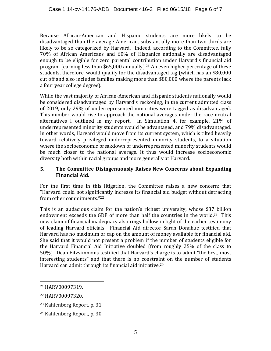Because African-American and Hispanic students are more likely to be disadvantaged than the average American, substantially more than two-thirds are likely to be so categorized by Harvard. Indeed, according to the Committee, fully 70% of African Americans and 60% of Hispanics nationally are disadvantaged enough to be eligible for zero parental contribution under Harvard's financial aid program (earning less than \$65,000 annually).<sup>21</sup> An even higher percentage of these students, therefore, would qualify for the disadvantaged tag (which has an \$80,000 cut off and also includes families making more than \$80,000 where the parents lack a four year college degree).

While the vast majority of African-American and Hispanic students nationally would be considered disadvantaged by Harvard's reckoning, in the current admitted class of 2019, only 29% of underrepresented minorities were tagged as disadvantaged. This number would rise to approach the national averages under the race-neutral alternatives I outlined in my report. In Simulation 4, for example, 21% of underrepresented minority students would be advantaged, and 79% disadvantaged. In other words, Harvard would move from its current system, which is tilted heavily toward relatively privileged underrepresented minority students, to a situation where the socioeconomic breakdown of underrepresented minority students would be much closer to the national average. It thus would increase socioeconomic diversity both within racial groups and more generally at Harvard.

## **5.** The Committee Disingenuously Raises New Concerns about Expanding **Financial Aid.**

For the first time in this litigation, the Committee raises a new concern: that "Harvard could not significantly increase its financial aid budget without detracting from other commitments."22

This is an audacious claim for the nation's richest university, whose \$37 billion endowment exceeds the GDP of more than half the countries in the world.<sup>23</sup> This new claim of financial inadequacy also rings hollow in light of the earlier testimony of leading Harvard officials. Financial Aid director Sarah Donahue testified that Harvard has no maximum or cap on the amount of money available for financial aid. She said that it would not present a problem if the number of students eligible for the Harvard Financial Aid Initiative doubled (from roughly 25% of the class to 50%). Dean Fitzsimmons testified that Harvard's charge is to admit "the best, most interesting students" and that there is no constraint on the number of students Harvard can admit through its financial aid initiative.<sup>24</sup>

 

<sup>21</sup> HARV00097319.

<sup>22</sup> HARV00097320.

<sup>&</sup>lt;sup>23</sup> Kahlenberg Report, p. 31.

<sup>&</sup>lt;sup>24</sup> Kahlenberg Report, p. 30.